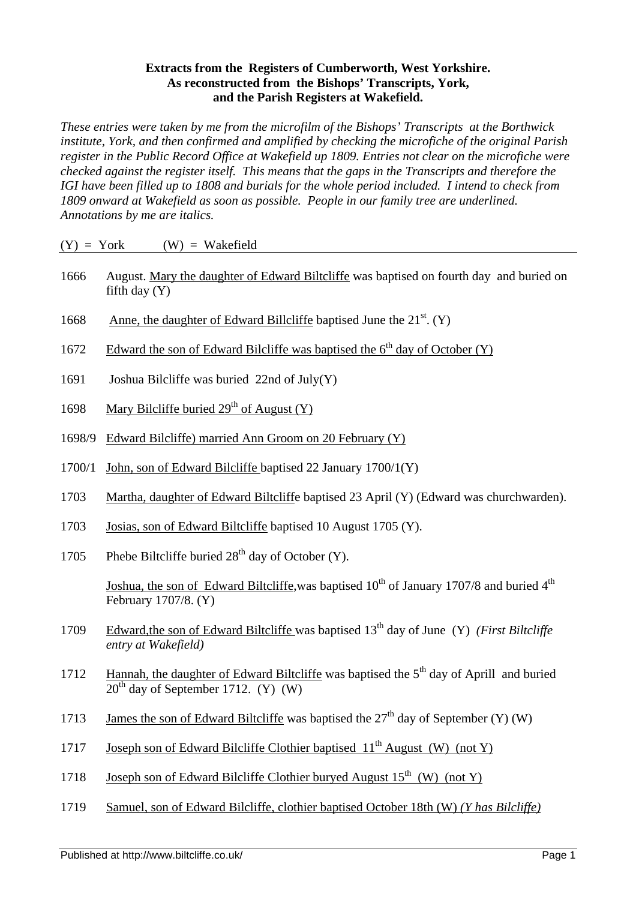## **Extracts from the Registers of Cumberworth, West Yorkshire. As reconstructed from the Bishops' Transcripts, York, and the Parish Registers at Wakefield.**

*These entries were taken by me from the microfilm of the Bishops' Transcripts at the Borthwick institute, York, and then confirmed and amplified by checking the microfiche of the original Parish register in the Public Record Office at Wakefield up 1809. Entries not clear on the microfiche were checked against the register itself. This means that the gaps in the Transcripts and therefore the IGI have been filled up to 1808 and burials for the whole period included. I intend to check from 1809 onward at Wakefield as soon as possible. People in our family tree are underlined. Annotations by me are italics.*

| $(Y) = York$ | $(W) = Wakefield$                                                                                                                            |
|--------------|----------------------------------------------------------------------------------------------------------------------------------------------|
| 1666         | August. Mary the daughter of Edward Biltcliffe was baptised on fourth day and buried on<br>fifth day $(Y)$                                   |
| 1668         | Anne, the daughter of Edward Billcliffe baptised June the 21 <sup>st</sup> . (Y)                                                             |
| 1672         | Edward the son of Edward Bilcliffe was baptised the $6th$ day of October (Y)                                                                 |
| 1691         | Joshua Bilcliffe was buried $22nd$ of July(Y)                                                                                                |
| 1698         | Mary Bilcliffe buried $29th$ of August (Y)                                                                                                   |
| 1698/9       | Edward Bilcliffe) married Ann Groom on 20 February (Y)                                                                                       |
| 1700/1       | John, son of Edward Bilcliffe baptised 22 January 1700/1(Y)                                                                                  |
| 1703         | Martha, daughter of Edward Biltcliffe baptised 23 April (Y) (Edward was churchwarden).                                                       |
| 1703         | Josias, son of Edward Biltcliffe baptised 10 August 1705 (Y).                                                                                |
| 1705         | Phebe Biltcliffe buried $28th$ day of October (Y).                                                                                           |
|              | Joshua, the son of Edward Biltcliffe, was baptised 10 <sup>th</sup> of January 1707/8 and buried 4 <sup>th</sup><br>February 1707/8. (Y)     |
| 1709         | Edward, the son of Edward Biltcliffe was baptised $13th$ day of June (Y) ( <i>First Biltcliffe</i><br>entry at Wakefield)                    |
| 1712         | Hannah, the daughter of Edward Biltcliffe was baptised the 5 <sup>th</sup> day of Aprill and buried<br>$20th$ day of September 1712. (Y) (W) |
| 1713         | James the son of Edward Biltcliffe was baptised the $27th$ day of September (Y) (W)                                                          |

- 1717 Joseph son of Edward Bilcliffe Clothier baptised  $11<sup>th</sup>$  August (W) (not Y)
- 1718 Joseph son of Edward Bilcliffe Clothier buryed August  $15<sup>th</sup>$  (W) (not Y)
- 1719 Samuel, son of Edward Bilcliffe, clothier baptised October 18th (W) *(Y has Bilcliffe)*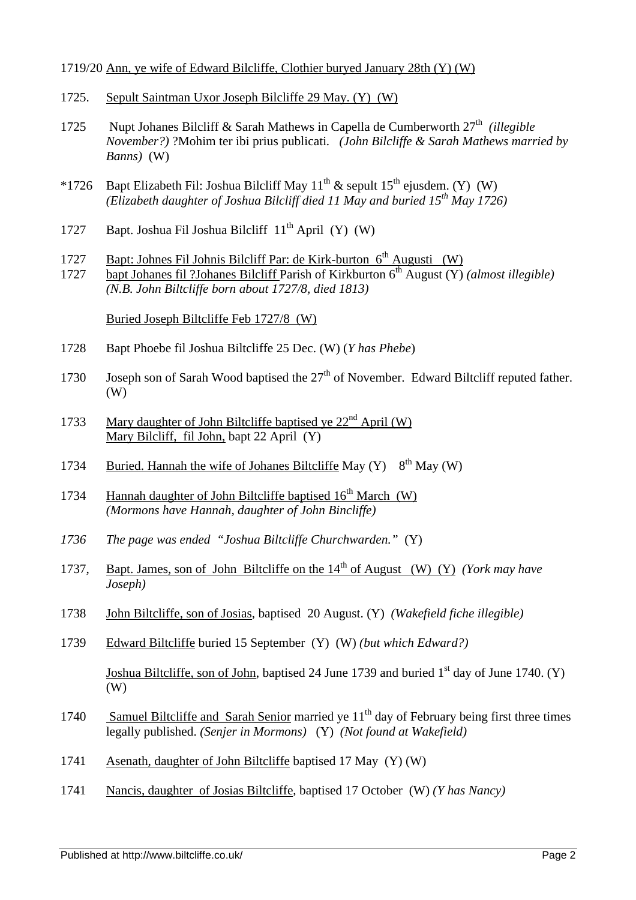## 1719/20 Ann, ye wife of Edward Bilcliffe, Clothier buryed January 28th (Y) (W)

- 1725. Sepult Saintman Uxor Joseph Bilcliffe 29 May. (Y) (W)
- 1725 Nupt Johanes Bilcliff & Sarah Mathews in Capella de Cumberworth 27<sup>th</sup> (illegible *November?)* ?Mohim ter ibi prius publicati*. (John Bilcliffe & Sarah Mathews married by Banns)* (W)
- \*1726 Bapt Elizabeth Fil: Joshua Bilcliff May  $11^{th}$  & sepult  $15^{th}$  ejusdem. (Y) (W) *(Elizabeth daughter of Joshua Bilcliff died 11 May and buried 15th May 1726)*
- 1727 Bapt. Joshua Fil Joshua Bilcliff 11th April (Y) (W)
- 1727 Bapt: Johnes Fil Johnis Bilcliff Par: de Kirk-burton  $6<sup>th</sup>$  Augusti (W)
- 1727 bapt Johanes fil ?Johanes Bilcliff Parish of Kirkburton 6th August (Y) *(almost illegible) (N.B. John Biltcliffe born about 1727/8, died 1813)*

Buried Joseph Biltcliffe Feb 1727/8 (W)

- 1728 Bapt Phoebe fil Joshua Biltcliffe 25 Dec. (W) (*Y has Phebe*)
- 1730 Joseph son of Sarah Wood baptised the  $27<sup>th</sup>$  of November. Edward Biltcliff reputed father. (W)
- 1733 Mary daughter of John Biltcliffe baptised ye  $22<sup>nd</sup>$  April (W) Mary Bilcliff, fil John, bapt 22 April (Y)
- 1734 Buried. Hannah the wife of Johanes Biltcliffe May  $(Y)$  8<sup>th</sup> May  $(W)$
- 1734 Hannah daughter of John Biltcliffe baptised 16<sup>th</sup> March (W) *(Mormons have Hannah, daughter of John Bincliffe)*
- *1736 The page was ended "Joshua Biltcliffe Churchwarden."* (Y)
- 1737, Bapt. James, son of John Biltcliffe on the 14th of August (W) (Y) *(York may have Joseph)*
- 1738 John Biltcliffe, son of Josias, baptised 20 August. (Y) *(Wakefield fiche illegible)*
- 1739 Edward Biltcliffe buried 15 September (Y) (W) *(but which Edward?)*

Joshua Biltcliffe, son of John, baptised 24 June 1739 and buried  $1<sup>st</sup>$  day of June 1740. (Y) (W)

- 1740 Samuel Biltcliffe and Sarah Senior married ye 11<sup>th</sup> day of February being first three times legally published. *(Senjer in Mormons)* (Y) *(Not found at Wakefield)*
- 1741 Asenath, daughter of John Biltcliffe baptised 17 May (Y) (W)
- 1741 Nancis, daughter of Josias Biltcliffe, baptised 17 October (W) *(Y has Nancy)*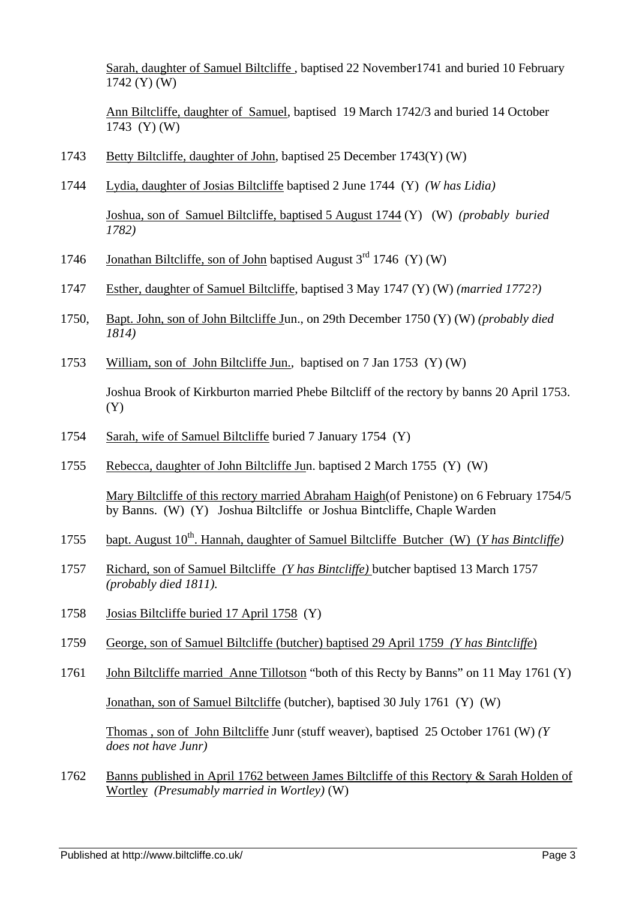Sarah, daughter of Samuel Biltcliffe , baptised 22 November1741 and buried 10 February 1742 (Y) (W)

Ann Biltcliffe, daughter of Samuel, baptised 19 March 1742/3 and buried 14 October 1743 (Y) (W)

- 1743 Betty Biltcliffe, daughter of John, baptised 25 December 1743(Y) (W)
- 1744 Lydia, daughter of Josias Biltcliffe baptised 2 June 1744 (Y) *(W has Lidia)*

Joshua, son of Samuel Biltcliffe, baptised 5 August 1744 (Y) (W) *(probably buried 1782)*

- 1746 Jonathan Biltcliffe, son of John baptised August  $3<sup>rd</sup>$  1746 (Y) (W)
- 1747 Esther, daughter of Samuel Biltcliffe, baptised 3 May 1747 (Y) (W) *(married 1772?)*
- 1750, Bapt. John, son of John Biltcliffe Jun., on 29th December 1750 (Y) (W) *(probably died 1814)*
- 1753 William, son of John Biltcliffe Jun., baptised on 7 Jan 1753 (Y) (W)

Joshua Brook of Kirkburton married Phebe Biltcliff of the rectory by banns 20 April 1753. (Y)

- 1754 Sarah, wife of Samuel Biltcliffe buried 7 January 1754 (Y)
- 1755 Rebecca, daughter of John Biltcliffe Jun. baptised 2 March 1755 (Y) (W)

Mary Biltcliffe of this rectory married Abraham Haigh(of Penistone) on 6 February 1754/5 by Banns. (W) (Y) Joshua Biltcliffe or Joshua Bintcliffe, Chaple Warden

- 1755 bapt. August 10<sup>th</sup>. Hannah, daughter of Samuel Biltcliffe Butcher (W) (*Y has Bintcliffe*)
- 1757 Richard, son of Samuel Biltcliffe *(Y has Bintcliffe)* butcher baptised 13 March 1757 *(probably died 1811).*
- 1758 Josias Biltcliffe buried 17 April 1758 (Y)
- 1759 George, son of Samuel Biltcliffe (butcher) baptised 29 April 1759 *(Y has Bintcliffe*)
- 1761 John Biltcliffe married Anne Tillotson "both of this Recty by Banns" on 11 May 1761 (Y) Jonathan, son of Samuel Biltcliffe (butcher), baptised 30 July 1761 (Y) (W)

Thomas , son of John Biltcliffe Junr (stuff weaver), baptised 25 October 1761 (W) *(Y does not have Junr)*

1762 Banns published in April 1762 between James Biltcliffe of this Rectory & Sarah Holden of Wortley *(Presumably married in Wortley)* (W)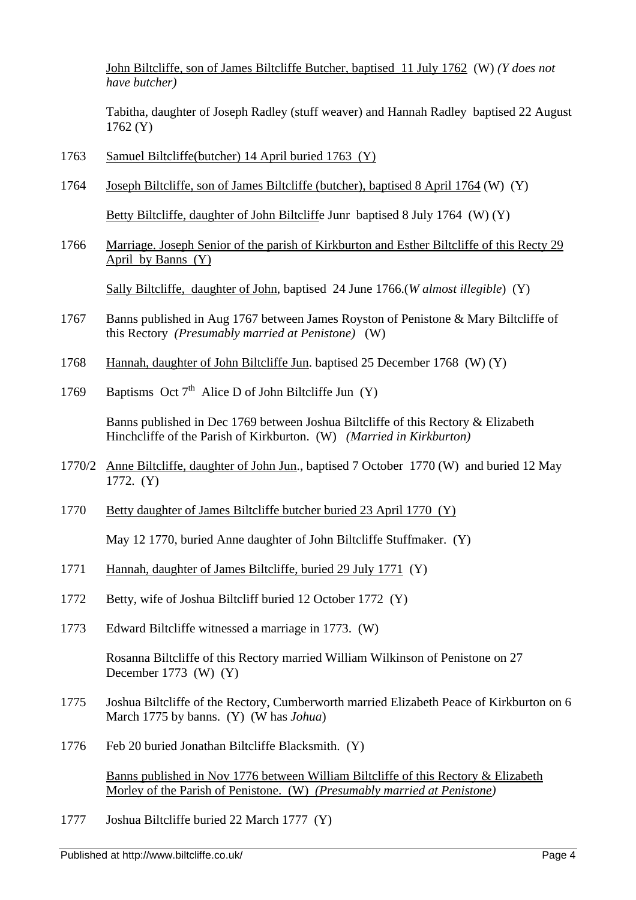John Biltcliffe, son of James Biltcliffe Butcher, baptised 11 July 1762 (W) *(Y does not have butcher)*

Tabitha, daughter of Joseph Radley (stuff weaver) and Hannah Radley baptised 22 August 1762 (Y)

- 1763 Samuel Biltcliffe(butcher) 14 April buried 1763 (Y)
- 1764 Joseph Biltcliffe, son of James Biltcliffe (butcher), baptised 8 April 1764 (W) (Y)

Betty Biltcliffe, daughter of John Biltcliffe Junr baptised 8 July 1764 (W) (Y)

1766 Marriage. Joseph Senior of the parish of Kirkburton and Esther Biltcliffe of this Recty 29 April by Banns (Y)

Sally Biltcliffe, daughter of John, baptised 24 June 1766.(*W almost illegible*) (Y)

- 1767 Banns published in Aug 1767 between James Royston of Penistone & Mary Biltcliffe of this Rectory *(Presumably married at Penistone)* (W)
- 1768 Hannah, daughter of John Biltcliffe Jun. baptised 25 December 1768 (W) (Y)
- 1769 Baptisms Oct  $7<sup>th</sup>$  Alice D of John Biltcliffe Jun (Y)

Banns published in Dec 1769 between Joshua Biltcliffe of this Rectory & Elizabeth Hinchcliffe of the Parish of Kirkburton. (W) *(Married in Kirkburton)*

- 1770/2 Anne Biltcliffe, daughter of John Jun., baptised 7 October1770 (W) and buried 12 May 1772. (Y)
- 1770 Betty daughter of James Biltcliffe butcher buried 23 April 1770 (Y)

May 12 1770, buried Anne daughter of John Biltcliffe Stuffmaker. (Y)

- 1771 Hannah, daughter of James Biltcliffe, buried 29 July 1771 (Y)
- 1772 Betty, wife of Joshua Biltcliff buried 12 October 1772 (Y)
- 1773 Edward Biltcliffe witnessed a marriage in 1773. (W)

Rosanna Biltcliffe of this Rectory married William Wilkinson of Penistone on 27 December 1773 (W) (Y)

- 1775 Joshua Biltcliffe of the Rectory, Cumberworth married Elizabeth Peace of Kirkburton on 6 March 1775 by banns. (Y) (W has *Johua*)
- 1776 Feb 20 buried Jonathan Biltcliffe Blacksmith. (Y)

Banns published in Nov 1776 between William Biltcliffe of this Rectory & Elizabeth Morley of the Parish of Penistone. (W) *(Presumably married at Penistone)*

1777 Joshua Biltcliffe buried 22 March 1777 (Y)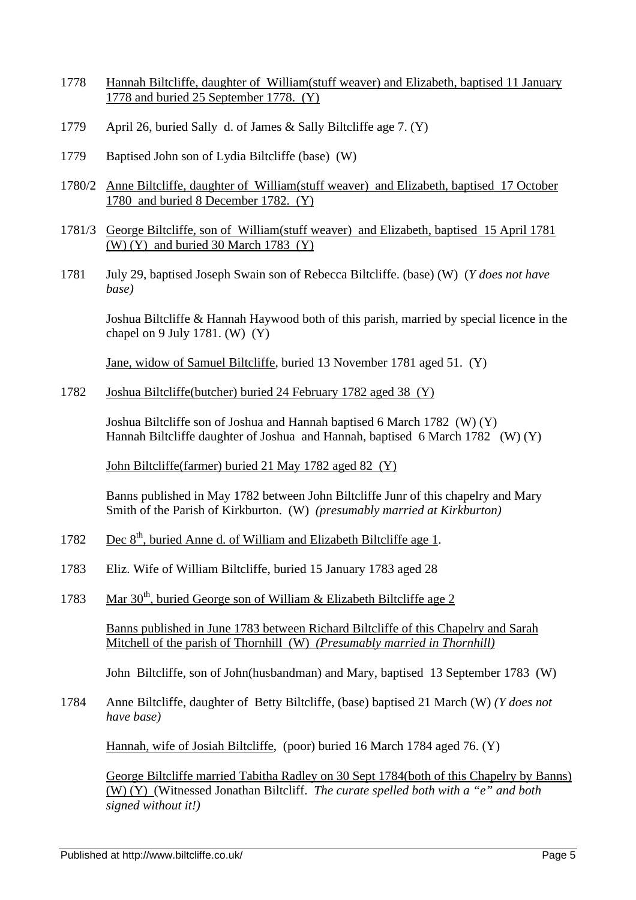- 1778 Hannah Biltcliffe, daughter of William(stuff weaver) and Elizabeth, baptised 11 January 1778 and buried 25 September 1778. (Y)
- 1779 April 26, buried Sally d. of James & Sally Biltcliffe age 7. (Y)
- 1779 Baptised John son of Lydia Biltcliffe (base) (W)
- 1780/2 Anne Biltcliffe, daughter of William(stuff weaver) and Elizabeth, baptised 17 October 1780 and buried 8 December 1782. (Y)
- 1781/3 George Biltcliffe, son of William(stuff weaver) and Elizabeth, baptised 15 April 1781  $(W)$  (Y) and buried 30 March 1783 (Y)
- 1781 July 29, baptised Joseph Swain son of Rebecca Biltcliffe. (base) (W) (*Y does not have base)*

Joshua Biltcliffe & Hannah Haywood both of this parish, married by special licence in the chapel on 9 July 1781. (W)  $(Y)$ 

Jane, widow of Samuel Biltcliffe, buried 13 November 1781 aged 51. (Y)

1782 Joshua Biltcliffe(butcher) buried 24 February 1782 aged 38 (Y)

Joshua Biltcliffe son of Joshua and Hannah baptised 6 March 1782 (W) (Y) Hannah Biltcliffe daughter of Joshua and Hannah, baptised 6 March 1782 (W) (Y)

John Biltcliffe(farmer) buried 21 May 1782 aged 82 (Y)

Banns published in May 1782 between John Biltcliffe Junr of this chapelry and Mary Smith of the Parish of Kirkburton. (W) *(presumably married at Kirkburton)*

- 1782 Dec 8<sup>th</sup>, buried Anne d. of William and Elizabeth Biltcliffe age 1.
- 1783 Eliz. Wife of William Biltcliffe, buried 15 January 1783 aged 28
- 1783 Mar  $30<sup>th</sup>$ , buried George son of William & Elizabeth Biltcliffe age 2

Banns published in June 1783 between Richard Biltcliffe of this Chapelry and Sarah Mitchell of the parish of Thornhill (W) *(Presumably married in Thornhill)*

John Biltcliffe, son of John(husbandman) and Mary, baptised 13 September 1783 (W)

1784 Anne Biltcliffe, daughter of Betty Biltcliffe, (base) baptised 21 March (W) *(Y does not have base)*

Hannah, wife of Josiah Biltcliffe, (poor) buried 16 March 1784 aged 76. (Y)

George Biltcliffe married Tabitha Radley on 30 Sept 1784(both of this Chapelry by Banns) (W) (Y) (Witnessed Jonathan Biltcliff. *The curate spelled both with a "e" and both signed without it!)*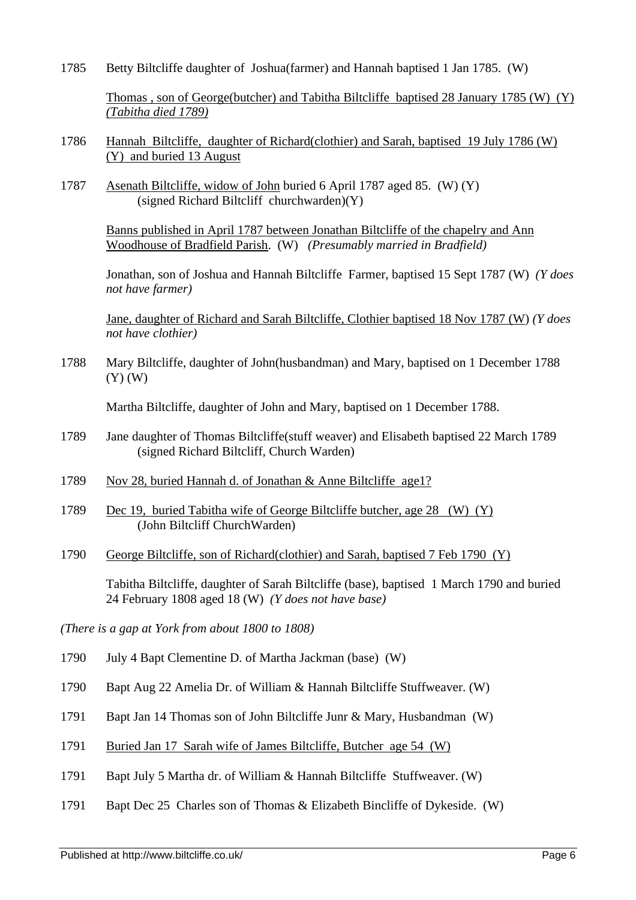1785 Betty Biltcliffe daughter of Joshua(farmer) and Hannah baptised 1 Jan 1785. (W)

Thomas , son of George(butcher) and Tabitha Biltcliffe baptised 28 January 1785 (W) (Y) *(Tabitha died 1789)*

- 1786 Hannah Biltcliffe, daughter of Richard(clothier) and Sarah, baptised 19 July 1786 (W) (Y) and buried 13 August
- 1787 Asenath Biltcliffe, widow of John buried 6 April 1787 aged 85. (W) (Y) (signed Richard Biltcliff churchwarden)(Y)

Banns published in April 1787 between Jonathan Biltcliffe of the chapelry and Ann Woodhouse of Bradfield Parish. (W) *(Presumably married in Bradfield)*

Jonathan, son of Joshua and Hannah Biltcliffe Farmer, baptised 15 Sept 1787 (W) *(Y does not have farmer)*

Jane, daughter of Richard and Sarah Biltcliffe, Clothier baptised 18 Nov 1787 (W) *(Y does not have clothier)*

1788 Mary Biltcliffe, daughter of John(husbandman) and Mary, baptised on 1 December 1788 (Y) (W)

Martha Biltcliffe, daughter of John and Mary, baptised on 1 December 1788.

- 1789 Jane daughter of Thomas Biltcliffe(stuff weaver) and Elisabeth baptised 22 March 1789 (signed Richard Biltcliff, Church Warden)
- 1789 Nov 28, buried Hannah d. of Jonathan & Anne Biltcliffe age1?
- 1789 Dec 19, buried Tabitha wife of George Biltcliffe butcher, age 28 (W) (Y) (John Biltcliff ChurchWarden)
- 1790 George Biltcliffe, son of Richard(clothier) and Sarah, baptised 7 Feb 1790 (Y)

Tabitha Biltcliffe, daughter of Sarah Biltcliffe (base), baptised 1 March 1790 and buried 24 February 1808 aged 18 (W) *(Y does not have base)*

*(There is a gap at York from about 1800 to 1808)*

- 1790 July 4 Bapt Clementine D. of Martha Jackman (base) (W)
- 1790 Bapt Aug 22 Amelia Dr. of William & Hannah Biltcliffe Stuffweaver. (W)
- 1791 Bapt Jan 14 Thomas son of John Biltcliffe Junr & Mary, Husbandman (W)
- 1791 Buried Jan 17 Sarah wife of James Biltcliffe, Butcher age 54 (W)
- 1791 Bapt July 5 Martha dr. of William & Hannah Biltcliffe Stuffweaver. (W)
- 1791 Bapt Dec 25 Charles son of Thomas & Elizabeth Bincliffe of Dykeside. (W)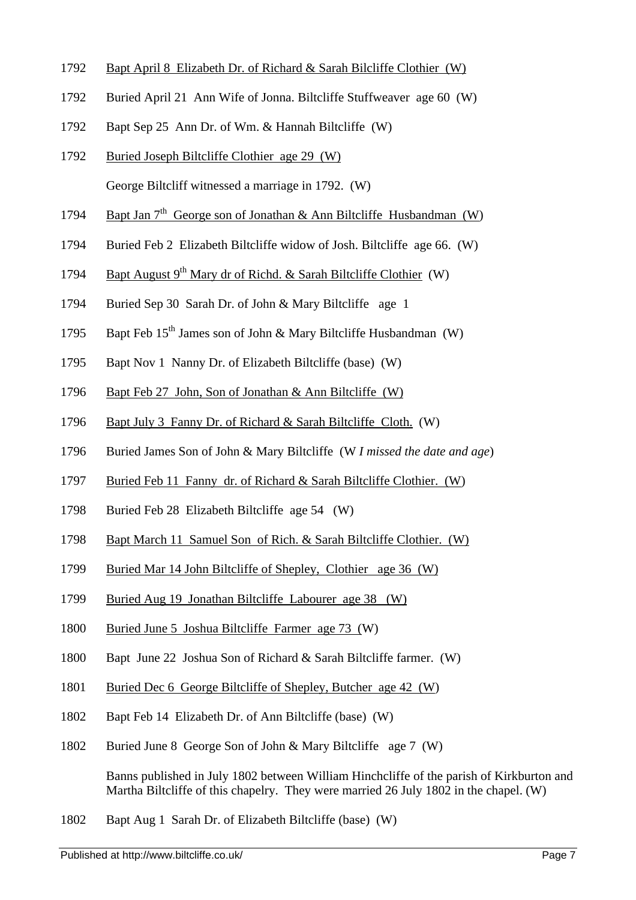- 1792 Bapt April 8 Elizabeth Dr. of Richard & Sarah Bilcliffe Clothier (W)
- 1792 Buried April 21 Ann Wife of Jonna. Biltcliffe Stuffweaver age 60 (W)
- 1792 Bapt Sep 25 Ann Dr. of Wm. & Hannah Biltcliffe (W)
- 1792 Buried Joseph Biltcliffe Clothier age 29 (W) George Biltcliff witnessed a marriage in 1792. (W)
- 1794 Bapt Jan  $7<sup>th</sup>$  George son of Jonathan & Ann Biltcliffe Husbandman (W)
- 1794 Buried Feb 2 Elizabeth Biltcliffe widow of Josh. Biltcliffe age 66. (W)
- 1794 Bapt August 9<sup>th</sup> Mary dr of Richd. & Sarah Biltcliffe Clothier (W)
- 1794 Buried Sep 30 Sarah Dr. of John & Mary Biltcliffe age 1
- 1795 Bapt Feb 15<sup>th</sup> James son of John & Mary Biltcliffe Husbandman (W)
- 1795 Bapt Nov 1 Nanny Dr. of Elizabeth Biltcliffe (base) (W)
- 1796 Bapt Feb 27 John, Son of Jonathan & Ann Biltcliffe (W)
- 1796 Bapt July 3 Fanny Dr. of Richard & Sarah Biltcliffe Cloth. (W)
- 1796 Buried James Son of John & Mary Biltcliffe (W *I missed the date and age*)
- 1797 Buried Feb 11 Fanny dr. of Richard & Sarah Biltcliffe Clothier. (W)
- 1798 Buried Feb 28 Elizabeth Biltcliffe age 54 (W)
- 1798 Bapt March 11 Samuel Son of Rich. & Sarah Biltcliffe Clothier. (W)
- 1799 Buried Mar 14 John Biltcliffe of Shepley, Clothier age 36 (W)
- 1799 Buried Aug 19 Jonathan Biltcliffe Labourer age 38 (W)
- 1800 Buried June 5 Joshua Biltcliffe Farmer age 73 (W)
- 1800 Bapt June 22 Joshua Son of Richard & Sarah Biltcliffe farmer. (W)
- 1801 Buried Dec 6 George Biltcliffe of Shepley, Butcher age 42 (W)
- 1802 Bapt Feb 14 Elizabeth Dr. of Ann Biltcliffe (base) (W)
- 1802 Buried June 8 George Son of John & Mary Biltcliffe age 7 (W)

Banns published in July 1802 between William Hinchcliffe of the parish of Kirkburton and Martha Biltcliffe of this chapelry. They were married 26 July 1802 in the chapel. (W)

1802 Bapt Aug 1 Sarah Dr. of Elizabeth Biltcliffe (base) (W)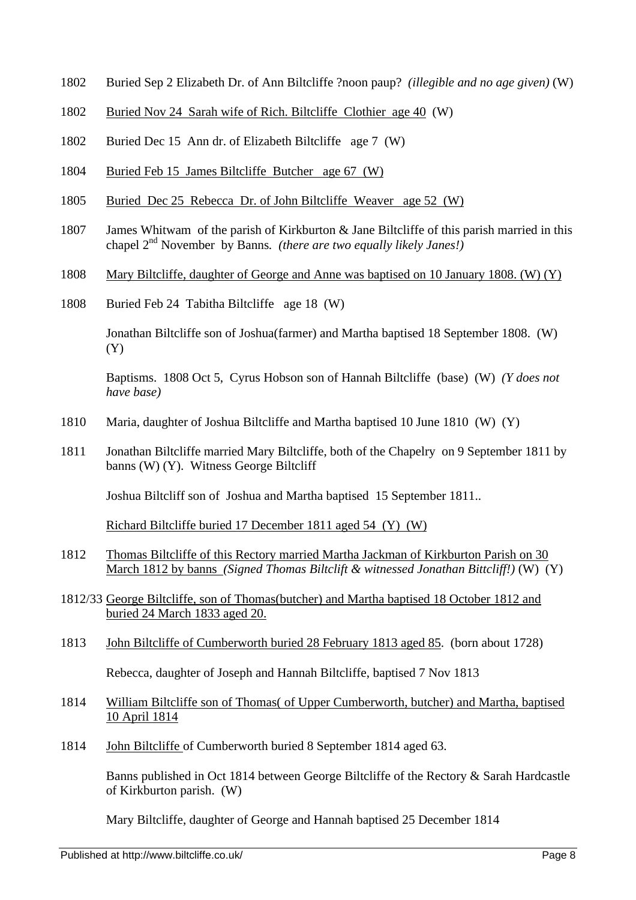- 1802 Buried Sep 2 Elizabeth Dr. of Ann Biltcliffe ?noon paup? *(illegible and no age given)* (W)
- 1802 Buried Nov 24 Sarah wife of Rich. Biltcliffe Clothier age 40 (W)
- 1802 Buried Dec 15 Ann dr. of Elizabeth Biltcliffe age 7 (W)
- 1804 Buried Feb 15 James Biltcliffe Butcher age 67 (W)
- 1805 Buried Dec 25 Rebecca Dr. of John Biltcliffe Weaver age 52 (W)
- 1807 James Whitwam of the parish of Kirkburton & Jane Biltcliffe of this parish married in this chapel 2nd November by Banns*. (there are two equally likely Janes!)*
- 1808 Mary Biltcliffe, daughter of George and Anne was baptised on 10 January 1808. (W) (Y)
- 1808 Buried Feb 24 Tabitha Biltcliffe age 18 (W)

Jonathan Biltcliffe son of Joshua(farmer) and Martha baptised 18 September 1808. (W) (Y)

Baptisms. 1808 Oct 5, Cyrus Hobson son of Hannah Biltcliffe (base) (W) *(Y does not have base)*

- 1810 Maria, daughter of Joshua Biltcliffe and Martha baptised 10 June 1810 (W) (Y)
- 1811 Jonathan Biltcliffe married Mary Biltcliffe, both of the Chapelry on 9 September 1811 by banns (W) (Y). Witness George Biltcliff

Joshua Biltcliff son of Joshua and Martha baptised 15 September 1811..

Richard Biltcliffe buried 17 December 1811 aged 54 (Y) (W)

- 1812 Thomas Biltcliffe of this Rectory married Martha Jackman of Kirkburton Parish on 30 March 1812 by banns *(Signed Thomas Biltclift & witnessed Jonathan Bittcliff!)* (W) (Y)
- 1812/33 George Biltcliffe, son of Thomas(butcher) and Martha baptised 18 October 1812 and buried 24 March 1833 aged 20.
- 1813 John Biltcliffe of Cumberworth buried 28 February 1813 aged 85. (born about 1728)

Rebecca, daughter of Joseph and Hannah Biltcliffe, baptised 7 Nov 1813

- 1814 William Biltcliffe son of Thomas( of Upper Cumberworth, butcher) and Martha, baptised 10 April 1814
- 1814 John Biltcliffe of Cumberworth buried 8 September 1814 aged 63.

Banns published in Oct 1814 between George Biltcliffe of the Rectory & Sarah Hardcastle of Kirkburton parish. (W)

Mary Biltcliffe, daughter of George and Hannah baptised 25 December 1814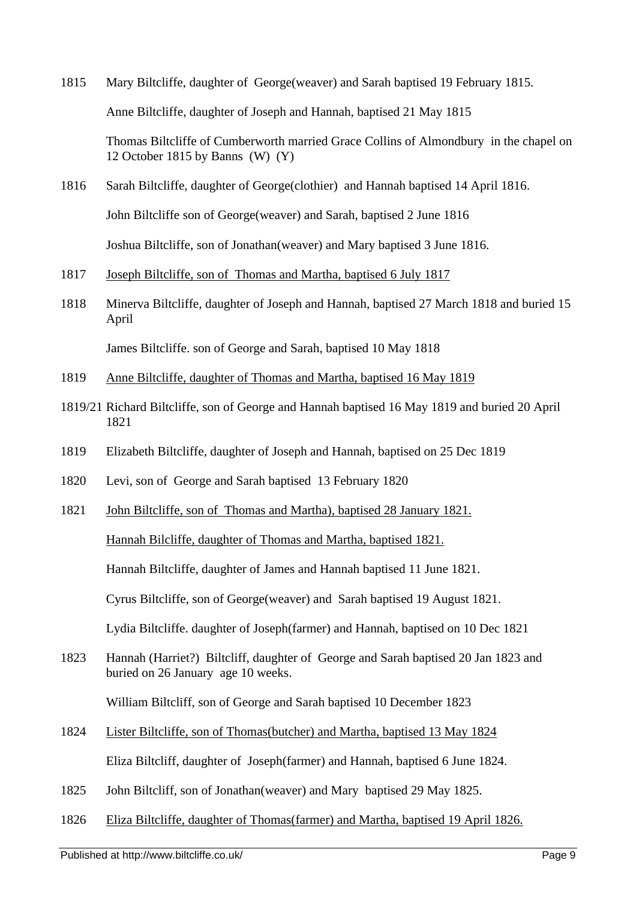- 1815 Mary Biltcliffe, daughter of George(weaver) and Sarah baptised 19 February 1815. Anne Biltcliffe, daughter of Joseph and Hannah, baptised 21 May 1815 Thomas Biltcliffe of Cumberworth married Grace Collins of Almondbury in the chapel on 12 October 1815 by Banns (W) (Y)
- 1816 Sarah Biltcliffe, daughter of George(clothier) and Hannah baptised 14 April 1816. John Biltcliffe son of George(weaver) and Sarah, baptised 2 June 1816 Joshua Biltcliffe, son of Jonathan(weaver) and Mary baptised 3 June 1816.
- 1817 Joseph Biltcliffe, son of Thomas and Martha, baptised 6 July 1817
- 1818 Minerva Biltcliffe, daughter of Joseph and Hannah, baptised 27 March 1818 and buried 15 April

James Biltcliffe. son of George and Sarah, baptised 10 May 1818

- 1819 Anne Biltcliffe, daughter of Thomas and Martha, baptised 16 May 1819
- 1819/21 Richard Biltcliffe, son of George and Hannah baptised 16 May 1819 and buried 20 April 1821
- 1819 Elizabeth Biltcliffe, daughter of Joseph and Hannah, baptised on 25 Dec 1819
- 1820 Levi, son of George and Sarah baptised 13 February 1820
- 1821 John Biltcliffe, son of Thomas and Martha), baptised 28 January 1821.

Hannah Bilcliffe, daughter of Thomas and Martha, baptised 1821.

Hannah Biltcliffe, daughter of James and Hannah baptised 11 June 1821.

Cyrus Biltcliffe, son of George(weaver) and Sarah baptised 19 August 1821.

Lydia Biltcliffe. daughter of Joseph(farmer) and Hannah, baptised on 10 Dec 1821

1823 Hannah (Harriet?) Biltcliff, daughter of George and Sarah baptised 20 Jan 1823 and buried on 26 January age 10 weeks.

William Biltcliff, son of George and Sarah baptised 10 December 1823

- 1824 Lister Biltcliffe, son of Thomas(butcher) and Martha, baptised 13 May 1824 Eliza Biltcliff, daughter of Joseph(farmer) and Hannah, baptised 6 June 1824.
- 1825 John Biltcliff, son of Jonathan(weaver) and Mary baptised 29 May 1825.
- 1826 Eliza Biltcliffe, daughter of Thomas(farmer) and Martha, baptised 19 April 1826.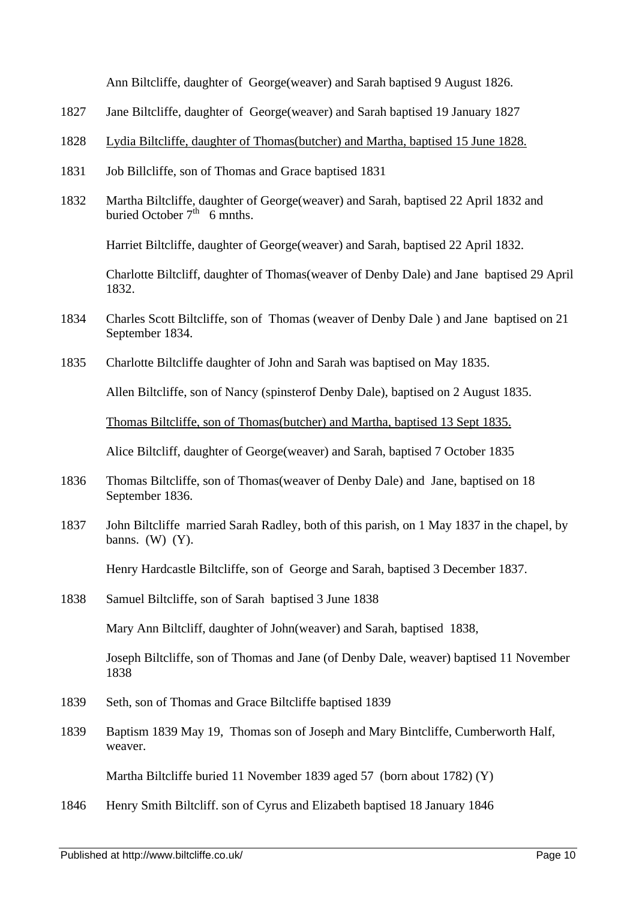Ann Biltcliffe, daughter of George(weaver) and Sarah baptised 9 August 1826.

- 1827 Jane Biltcliffe, daughter of George(weaver) and Sarah baptised 19 January 1827
- 1828 Lydia Biltcliffe, daughter of Thomas(butcher) and Martha, baptised 15 June 1828.
- 1831 Job Billcliffe, son of Thomas and Grace baptised 1831
- 1832 Martha Biltcliffe, daughter of George(weaver) and Sarah, baptised 22 April 1832 and buried October  $7<sup>th</sup>$  6 mnths.

Harriet Biltcliffe, daughter of George(weaver) and Sarah, baptised 22 April 1832.

Charlotte Biltcliff, daughter of Thomas(weaver of Denby Dale) and Jane baptised 29 April 1832.

- 1834 Charles Scott Biltcliffe, son of Thomas (weaver of Denby Dale ) and Jane baptised on 21 September 1834.
- 1835 Charlotte Biltcliffe daughter of John and Sarah was baptised on May 1835.

Allen Biltcliffe, son of Nancy (spinsterof Denby Dale), baptised on 2 August 1835.

Thomas Biltcliffe, son of Thomas(butcher) and Martha, baptised 13 Sept 1835.

Alice Biltcliff, daughter of George(weaver) and Sarah, baptised 7 October 1835

- 1836 Thomas Biltcliffe, son of Thomas(weaver of Denby Dale) and Jane, baptised on 18 September 1836.
- 1837 John Biltcliffe married Sarah Radley, both of this parish, on 1 May 1837 in the chapel, by banns.  $(W)$   $(Y)$ .

Henry Hardcastle Biltcliffe, son of George and Sarah, baptised 3 December 1837.

1838 Samuel Biltcliffe, son of Sarah baptised 3 June 1838

Mary Ann Biltcliff, daughter of John(weaver) and Sarah, baptised 1838,

Joseph Biltcliffe, son of Thomas and Jane (of Denby Dale, weaver) baptised 11 November 1838

- 1839 Seth, son of Thomas and Grace Biltcliffe baptised 1839
- 1839 Baptism 1839 May 19, Thomas son of Joseph and Mary Bintcliffe, Cumberworth Half, weaver.

Martha Biltcliffe buried 11 November 1839 aged 57 (born about 1782) (Y)

1846 Henry Smith Biltcliff. son of Cyrus and Elizabeth baptised 18 January 1846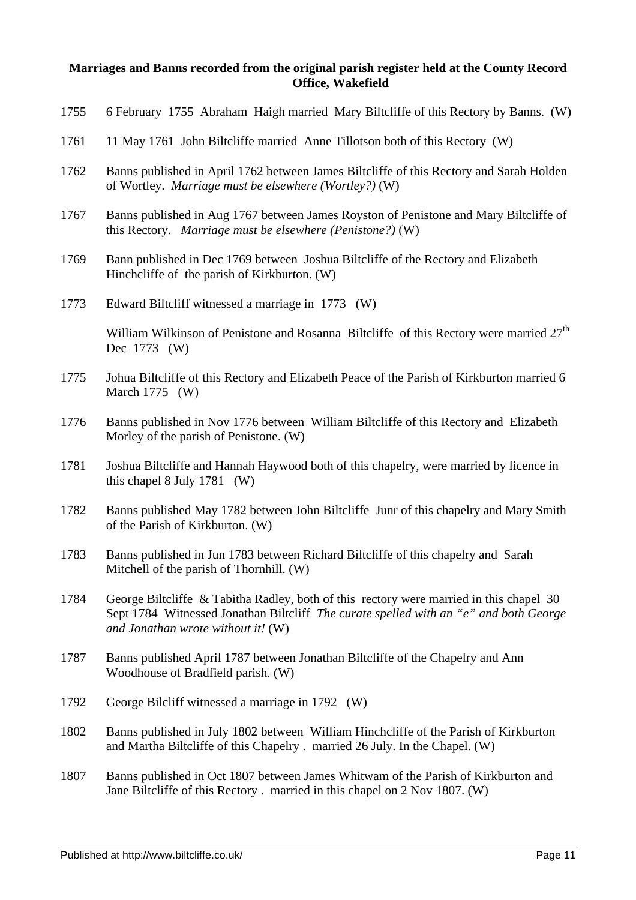## **Marriages and Banns recorded from the original parish register held at the County Record Office, Wakefield**

| 1755 | 6 February 1755 Abraham Haigh married Mary Biltcliffe of this Rectory by Banns. (W)                                                                                                                                    |
|------|------------------------------------------------------------------------------------------------------------------------------------------------------------------------------------------------------------------------|
| 1761 | 11 May 1761 John Biltcliffe married Anne Tillotson both of this Rectory (W)                                                                                                                                            |
| 1762 | Banns published in April 1762 between James Biltcliffe of this Rectory and Sarah Holden<br>of Wortley. Marriage must be elsewhere (Wortley?) (W)                                                                       |
| 1767 | Banns published in Aug 1767 between James Royston of Penistone and Mary Biltcliffe of<br>this Rectory. Marriage must be elsewhere (Penistone?) (W)                                                                     |
| 1769 | Bann published in Dec 1769 between Joshua Biltcliffe of the Rectory and Elizabeth<br>Hinchcliffe of the parish of Kirkburton. (W)                                                                                      |
| 1773 | Edward Biltcliff witnessed a marriage in 1773 (W)                                                                                                                                                                      |
|      | William Wilkinson of Penistone and Rosanna Biltcliffe of this Rectory were married 27 <sup>th</sup><br>Dec 1773 (W)                                                                                                    |
| 1775 | Johua Biltcliffe of this Rectory and Elizabeth Peace of the Parish of Kirkburton married 6<br>March $1775$ (W)                                                                                                         |
| 1776 | Banns published in Nov 1776 between William Biltcliffe of this Rectory and Elizabeth<br>Morley of the parish of Penistone. (W)                                                                                         |
| 1781 | Joshua Biltcliffe and Hannah Haywood both of this chapelry, were married by licence in<br>this chapel $8$ July 1781 (W)                                                                                                |
| 1782 | Banns published May 1782 between John Biltcliffe Junr of this chapelry and Mary Smith<br>of the Parish of Kirkburton. (W)                                                                                              |
| 1783 | Banns published in Jun 1783 between Richard Biltcliffe of this chapelry and Sarah<br>Mitchell of the parish of Thornhill. (W)                                                                                          |
| 1784 | George Biltcliffe & Tabitha Radley, both of this rectory were married in this chapel 30<br>Sept 1784 Witnessed Jonathan Biltcliff The curate spelled with an "e" and both George<br>and Jonathan wrote without it! (W) |
| 1787 | Banns published April 1787 between Jonathan Biltcliffe of the Chapelry and Ann<br>Woodhouse of Bradfield parish. (W)                                                                                                   |
| 1792 | George Bilcliff witnessed a marriage in 1792 (W)                                                                                                                                                                       |
| 1802 | Banns published in July 1802 between William Hinchcliffe of the Parish of Kirkburton<br>and Martha Biltcliffe of this Chapelry . married 26 July. In the Chapel. (W)                                                   |
| 1807 | Banns published in Oct 1807 between James Whitwam of the Parish of Kirkburton and<br>Jane Biltcliffe of this Rectory. married in this chapel on 2 Nov 1807. (W)                                                        |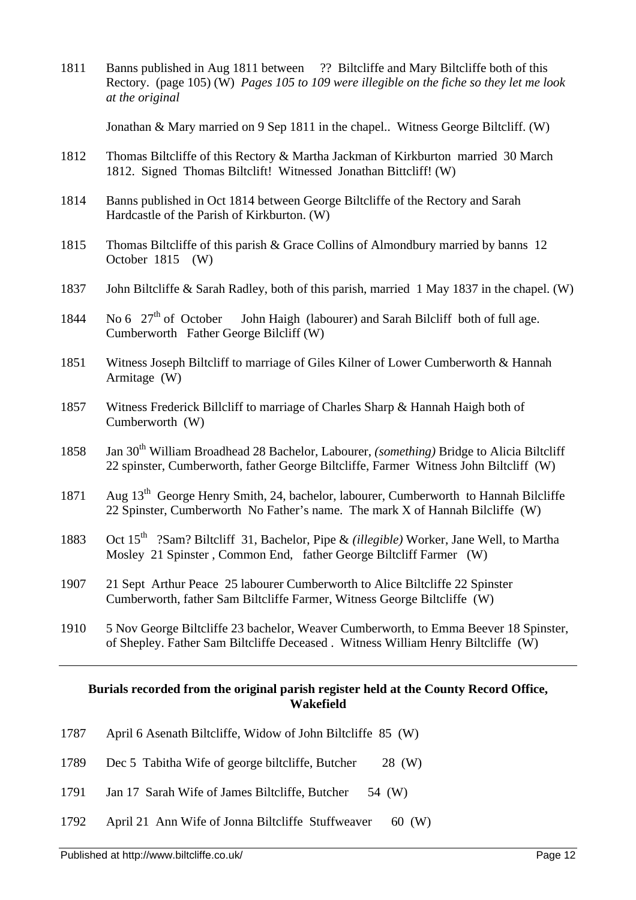1811 Banns published in Aug 1811 between ?? Biltcliffe and Mary Biltcliffe both of this Rectory. (page 105) (W) *Pages 105 to 109 were illegible on the fiche so they let me look at the original*

Jonathan & Mary married on 9 Sep 1811 in the chapel.. Witness George Biltcliff. (W)

- 1812 Thomas Biltcliffe of this Rectory & Martha Jackman of Kirkburton married 30 March 1812. Signed Thomas Biltclift! Witnessed Jonathan Bittcliff! (W)
- 1814 Banns published in Oct 1814 between George Biltcliffe of the Rectory and Sarah Hardcastle of the Parish of Kirkburton. (W)
- 1815 Thomas Biltcliffe of this parish & Grace Collins of Almondbury married by banns 12 October 1815 (W)
- 1837 John Biltcliffe & Sarah Radley, both of this parish, married 1 May 1837 in the chapel. (W)
- 1844 No 6  $27<sup>th</sup>$  of October John Haigh (labourer) and Sarah Bilcliff both of full age. Cumberworth Father George Bilcliff (W)
- 1851 Witness Joseph Biltcliff to marriage of Giles Kilner of Lower Cumberworth & Hannah Armitage (W)
- 1857 Witness Frederick Billcliff to marriage of Charles Sharp & Hannah Haigh both of Cumberworth (W)
- 1858 Jan 30<sup>th</sup> William Broadhead 28 Bachelor, Labourer, *(something)* Bridge to Alicia Biltcliff 22 spinster, Cumberworth, father George Biltcliffe, Farmer Witness John Biltcliff (W)
- 1871 Aug 13<sup>th</sup> George Henry Smith, 24, bachelor, labourer, Cumberworth to Hannah Bilcliffe 22 Spinster, Cumberworth No Father's name. The mark X of Hannah Bilcliffe (W)
- 1883 Oct 15<sup>th</sup> ?Sam? Biltcliff 31, Bachelor, Pipe & *(illegible)* Worker, Jane Well, to Martha Mosley 21 Spinster , Common End, father George Biltcliff Farmer (W)
- 1907 21 Sept Arthur Peace 25 labourer Cumberworth to Alice Biltcliffe 22 Spinster Cumberworth, father Sam Biltcliffe Farmer, Witness George Biltcliffe (W)
- 1910 5 Nov George Biltcliffe 23 bachelor, Weaver Cumberworth, to Emma Beever 18 Spinster, of Shepley. Father Sam Biltcliffe Deceased . Witness William Henry Biltcliffe (W)

## **Burials recorded from the original parish register held at the County Record Office, Wakefield**

- 1787 April 6 Asenath Biltcliffe, Widow of John Biltcliffe 85 (W)
- 1789 Dec 5 Tabitha Wife of george biltcliffe, Butcher 28 (W)
- 1791 Jan 17 Sarah Wife of James Biltcliffe, Butcher 54 (W)
- 1792 April 21 Ann Wife of Jonna Biltcliffe Stuffweaver 60 (W)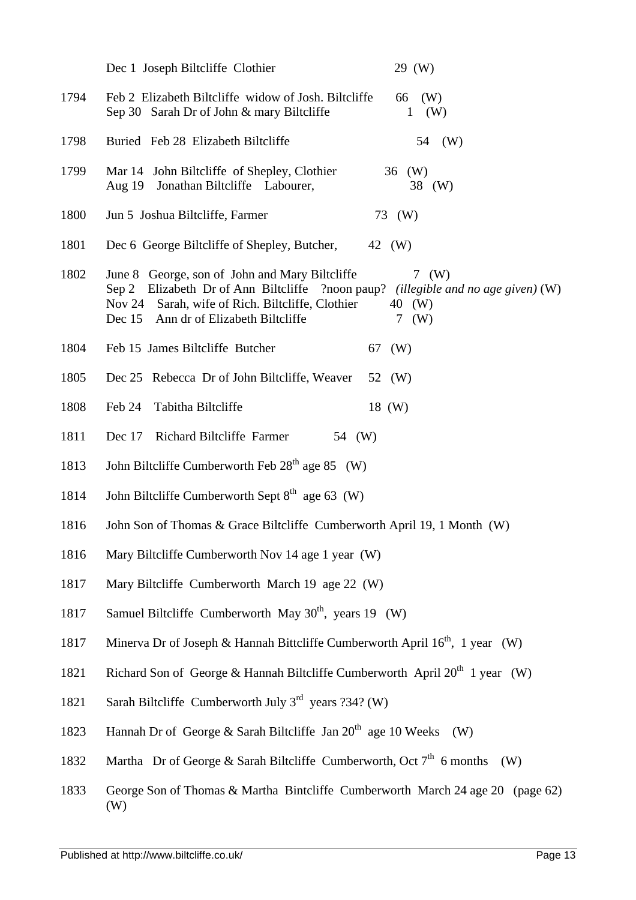|      | Dec 1 Joseph Biltcliffe Clothier<br>29 (W)                                                                                                                                                                                                                          |
|------|---------------------------------------------------------------------------------------------------------------------------------------------------------------------------------------------------------------------------------------------------------------------|
| 1794 | Feb 2 Elizabeth Biltcliffe widow of Josh. Biltcliffe<br>66<br>(W)<br>Sep 30 Sarah Dr of John & mary Biltcliffe<br>(W)<br>$\mathbf{1}$                                                                                                                               |
| 1798 | Buried Feb 28 Elizabeth Biltcliffe<br>54<br>(W)                                                                                                                                                                                                                     |
| 1799 | Mar 14 John Biltcliffe of Shepley, Clothier<br>36 (W)<br>Aug 19 Jonathan Biltcliffe Labourer,<br>38 (W)                                                                                                                                                             |
| 1800 | Jun 5 Joshua Biltcliffe, Farmer<br>73 (W)                                                                                                                                                                                                                           |
| 1801 | Dec 6 George Biltcliffe of Shepley, Butcher,<br>42 (W)                                                                                                                                                                                                              |
| 1802 | June 8 George, son of John and Mary Biltcliffe<br>7 (W)<br>Sep 2 Elizabeth Dr of Ann Biltcliffe ?noon paup? <i>(illegible and no age given)</i> (W)<br>Nov 24 Sarah, wife of Rich. Biltcliffe, Clothier<br>40 (W)<br>7 (W)<br>Dec 15 Ann dr of Elizabeth Biltcliffe |
| 1804 | Feb 15 James Biltcliffe Butcher<br>67 (W)                                                                                                                                                                                                                           |
| 1805 | Dec 25 Rebecca Dr of John Biltcliffe, Weaver<br>52 (W)                                                                                                                                                                                                              |
| 1808 | Tabitha Biltcliffe<br>Feb 24<br>18 (W)                                                                                                                                                                                                                              |
| 1811 | Dec 17 Richard Biltcliffe Farmer<br>54 (W)                                                                                                                                                                                                                          |
| 1813 | John Biltcliffe Cumberworth Feb 28 <sup>th</sup> age 85 (W)                                                                                                                                                                                                         |
| 1814 | John Biltcliffe Cumberworth Sept 8 <sup>th</sup> age 63 (W)                                                                                                                                                                                                         |
| 1816 | John Son of Thomas & Grace Biltcliffe Cumberworth April 19, 1 Month (W)                                                                                                                                                                                             |
| 1816 | Mary Biltcliffe Cumberworth Nov 14 age 1 year (W)                                                                                                                                                                                                                   |
| 1817 | Mary Biltcliffe Cumberworth March 19 age 22 (W)                                                                                                                                                                                                                     |
| 1817 | Samuel Biltcliffe Cumberworth May $30th$ , years 19 (W)                                                                                                                                                                                                             |
| 1817 | Minerva Dr of Joseph & Hannah Bittcliffe Cumberworth April 16 <sup>th</sup> , 1 year (W)                                                                                                                                                                            |
| 1821 | Richard Son of George & Hannah Biltcliffe Cumberworth April $20^{th}$ 1 year (W)                                                                                                                                                                                    |
| 1821 | Sarah Biltcliffe Cumberworth July $3^{rd}$ years ?34? (W)                                                                                                                                                                                                           |
| 1823 | Hannah Dr of George & Sarah Biltcliffe Jan $20th$ age 10 Weeks<br>(W)                                                                                                                                                                                               |
| 1832 | Martha Dr of George & Sarah Biltcliffe Cumberworth, Oct $7th$ 6 months<br>(W)                                                                                                                                                                                       |
| 1833 | George Son of Thomas & Martha Bintcliffe Cumberworth March 24 age 20 (page 62)<br>(W)                                                                                                                                                                               |